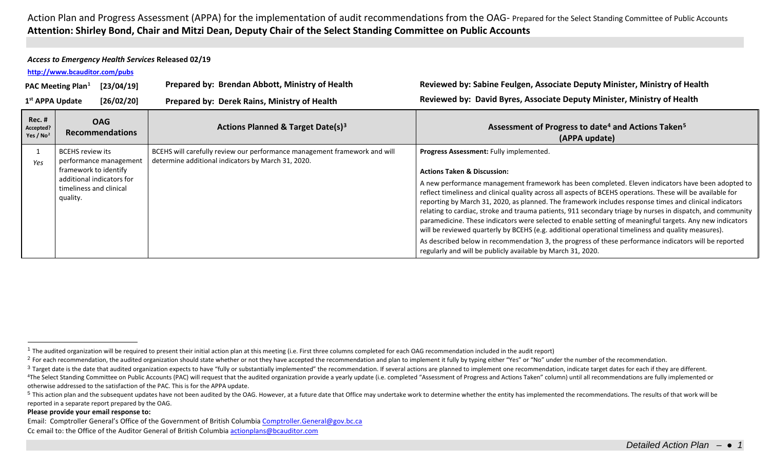## <span id="page-0-4"></span><span id="page-0-3"></span><span id="page-0-2"></span><span id="page-0-1"></span><span id="page-0-0"></span>*Access to Emergency Health Services* **Released 02/19**

### **<http://www.bcauditor.com/pubs>**

| [23/04/19]<br><b>PAC Meeting Plan</b> <sup>1</sup> |                                                                                                                                         | Prepared by: Brendan Abbott, Ministry of Health                                                                                 | Reviewed by: Sabine Feulgen, Associate Deputy Minister, Ministry of Health                                                                                                                                                                                                                                                                                                                                                                                                                                                                                                                                                                                                                                                                                                                                                                                                                                              |
|----------------------------------------------------|-----------------------------------------------------------------------------------------------------------------------------------------|---------------------------------------------------------------------------------------------------------------------------------|-------------------------------------------------------------------------------------------------------------------------------------------------------------------------------------------------------------------------------------------------------------------------------------------------------------------------------------------------------------------------------------------------------------------------------------------------------------------------------------------------------------------------------------------------------------------------------------------------------------------------------------------------------------------------------------------------------------------------------------------------------------------------------------------------------------------------------------------------------------------------------------------------------------------------|
| 1 <sup>st</sup> APPA Update                        | [26/02/20]                                                                                                                              | Prepared by: Derek Rains, Ministry of Health                                                                                    | Reviewed by: David Byres, Associate Deputy Minister, Ministry of Health                                                                                                                                                                                                                                                                                                                                                                                                                                                                                                                                                                                                                                                                                                                                                                                                                                                 |
| <b>Rec. #</b><br>Accepted?<br>Yes / $No2$          | <b>OAG</b><br><b>Recommendations</b>                                                                                                    | Actions Planned & Target Date(s) <sup>3</sup>                                                                                   | Assessment of Progress to date <sup>4</sup> and Actions Taken <sup>5</sup><br>(APPA update)                                                                                                                                                                                                                                                                                                                                                                                                                                                                                                                                                                                                                                                                                                                                                                                                                             |
| Yes                                                | BCEHS review its<br>performance management<br>framework to identify<br>additional indicators for<br>timeliness and clinical<br>quality. | BCEHS will carefully review our performance management framework and will<br>determine additional indicators by March 31, 2020. | Progress Assessment: Fully implemented.<br><b>Actions Taken &amp; Discussion:</b><br>A new performance management framework has been completed. Eleven indicators have been adopted to<br>reflect timeliness and clinical quality across all aspects of BCEHS operations. These will be available for<br>reporting by March 31, 2020, as planned. The framework includes response times and clinical indicators<br>relating to cardiac, stroke and trauma patients, 911 secondary triage by nurses in dispatch, and community<br>paramedicine. These indicators were selected to enable setting of meaningful targets. Any new indicators<br>will be reviewed quarterly by BCEHS (e.g. additional operational timeliness and quality measures).<br>As described below in recommendation 3, the progress of these performance indicators will be reported<br>regularly and will be publicly available by March 31, 2020. |

#### **Please provide your email response to:**

Email: Comptroller General's Office of the Government of British Columbi[a Comptroller.General@gov.bc.ca](mailto:Comptroller.General@gov.bc.ca) Cc email to: the Office of the Auditor General of British Columbi[a actionplans@bcauditor.com](mailto:actionplans@bcauditor.com)

 $1$  The audited organization will be required to present their initial action plan at this meeting (i.e. First three columns completed for each OAG recommendation included in the audit report)

<sup>&</sup>lt;sup>2</sup> For each recommendation, the audited organization should state whether or not they have accepted the recommendation and plan to implement it fully by typing either "Yes" or "No" under the number of the recommendation.

<sup>&</sup>lt;sup>3</sup> Target date is the date that audited organization expects to have "fully or substantially implemented" the recommendation. If several actions are planned to implement one recommendation, indicate target dates for each <sup>4</sup>The Select Standing Committee on Public Accounts (PAC) will request that the audited organization provide a yearly update (i.e. completed "Assessment of Progress and Actions Taken" column) until all recommendations are otherwise addressed to the satisfaction of the PAC. This is for the APPA update.

<sup>&</sup>lt;sup>5</sup> This action plan and the subsequent updates have not been audited by the OAG. However, at a future date that Office may undertake work to determine whether the entity has implemented the recommendations. The results of reported in a separate report prepared by the OAG.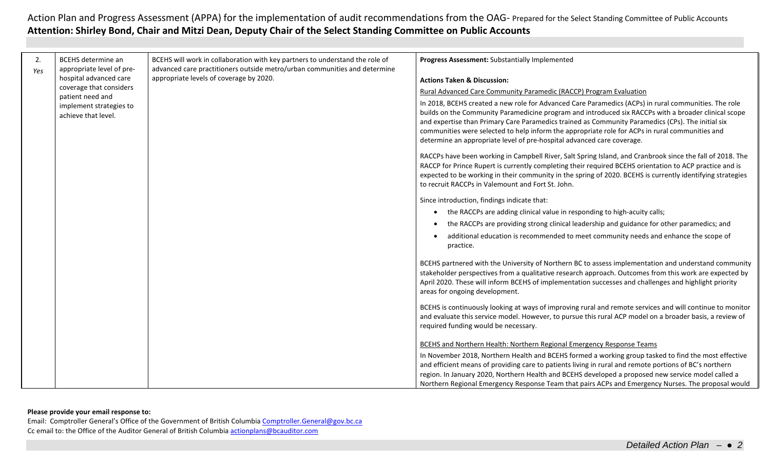| 2.<br>Yes | <b>BCEHS</b> determine an<br>appropriate level of pre- | BCEHS will work in collaboration with key partners to understand the role of<br>advanced care practitioners outside metro/urban communities and determine | Progress Assessment: Substantially Implemented                                                                                                                                                                                                                                                                                                                                                                                                                                                 |
|-----------|--------------------------------------------------------|-----------------------------------------------------------------------------------------------------------------------------------------------------------|------------------------------------------------------------------------------------------------------------------------------------------------------------------------------------------------------------------------------------------------------------------------------------------------------------------------------------------------------------------------------------------------------------------------------------------------------------------------------------------------|
|           | hospital advanced care                                 | appropriate levels of coverage by 2020.                                                                                                                   | <b>Actions Taken &amp; Discussion:</b>                                                                                                                                                                                                                                                                                                                                                                                                                                                         |
|           | coverage that considers                                |                                                                                                                                                           | Rural Advanced Care Community Paramedic (RACCP) Program Evaluation                                                                                                                                                                                                                                                                                                                                                                                                                             |
|           | implement strategies to<br>achieve that level.         | patient need and                                                                                                                                          | In 2018, BCEHS created a new role for Advanced Care Paramedics (ACPs) in rural communities. The role<br>builds on the Community Paramedicine program and introduced six RACCPs with a broader clinical scope<br>and expertise than Primary Care Paramedics trained as Community Paramedics (CPs). The initial six<br>communities were selected to help inform the appropriate role for ACPs in rural communities and<br>determine an appropriate level of pre-hospital advanced care coverage. |
|           |                                                        |                                                                                                                                                           | RACCPs have been working in Campbell River, Salt Spring Island, and Cranbrook since the fall of 2018. The<br>RACCP for Prince Rupert is currently completing their required BCEHS orientation to ACP practice and is<br>expected to be working in their community in the spring of 2020. BCEHS is currently identifying strategies<br>to recruit RACCPs in Valemount and Fort St. John.                                                                                                        |
|           |                                                        |                                                                                                                                                           | Since introduction, findings indicate that:                                                                                                                                                                                                                                                                                                                                                                                                                                                    |
|           |                                                        |                                                                                                                                                           | the RACCPs are adding clinical value in responding to high-acuity calls;                                                                                                                                                                                                                                                                                                                                                                                                                       |
|           |                                                        |                                                                                                                                                           | the RACCPs are providing strong clinical leadership and guidance for other paramedics; and                                                                                                                                                                                                                                                                                                                                                                                                     |
|           |                                                        |                                                                                                                                                           | additional education is recommended to meet community needs and enhance the scope of<br>practice.                                                                                                                                                                                                                                                                                                                                                                                              |
|           |                                                        |                                                                                                                                                           | BCEHS partnered with the University of Northern BC to assess implementation and understand community<br>stakeholder perspectives from a qualitative research approach. Outcomes from this work are expected by<br>April 2020. These will inform BCEHS of implementation successes and challenges and highlight priority<br>areas for ongoing development.                                                                                                                                      |
|           |                                                        |                                                                                                                                                           | BCEHS is continuously looking at ways of improving rural and remote services and will continue to monitor<br>and evaluate this service model. However, to pursue this rural ACP model on a broader basis, a review of<br>required funding would be necessary.                                                                                                                                                                                                                                  |
|           |                                                        |                                                                                                                                                           | <b>BCEHS and Northern Health: Northern Regional Emergency Response Teams</b>                                                                                                                                                                                                                                                                                                                                                                                                                   |
|           |                                                        |                                                                                                                                                           | In November 2018, Northern Health and BCEHS formed a working group tasked to find the most effective<br>and efficient means of providing care to patients living in rural and remote portions of BC's northern<br>region. In January 2020, Northern Health and BCEHS developed a proposed new service model called a                                                                                                                                                                           |
|           |                                                        |                                                                                                                                                           | Northern Regional Emergency Response Team that pairs ACPs and Emergency Nurses. The proposal would                                                                                                                                                                                                                                                                                                                                                                                             |

### **Please provide your email response to:**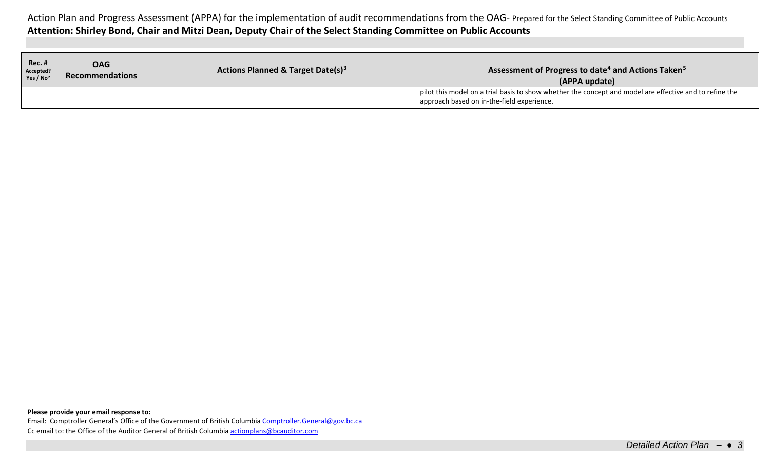| <b>Rec. #</b><br>Accepted?<br>Yes / $No2$ | OAG<br>Recommendations | Actions Planned & Target Date(s) <sup>3</sup> | Assessment of Progress to date <sup>4</sup> and Actions Taken <sup>5</sup><br>(APPA update)                                                                 |
|-------------------------------------------|------------------------|-----------------------------------------------|-------------------------------------------------------------------------------------------------------------------------------------------------------------|
|                                           |                        |                                               | $\pm$ pilot this model on a trial basis to show whether the concept and model are effective and to refine the<br>approach based on in-the-field experience. |

**Please provide your email response to:**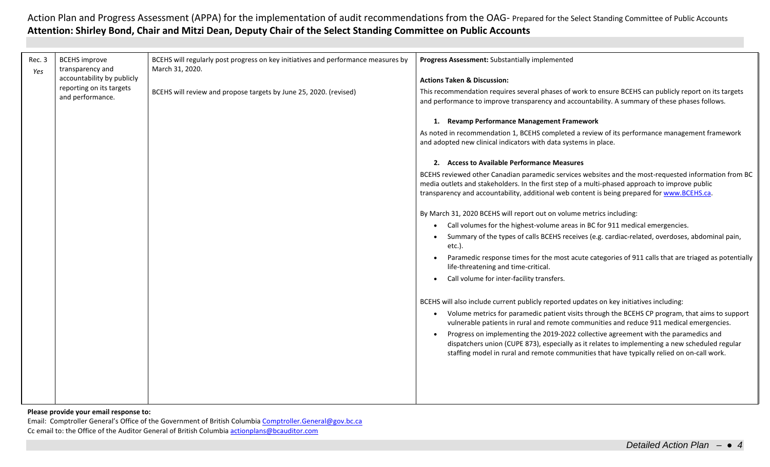| Rec. 3<br>Yes | <b>BCEHS</b> improve<br>transparency and     | BCEHS will regularly post progress on key initiatives and performance measures by<br>March 31, 2020. | Progress Assessment: Substantially implemented                                                                                                                                                                                                                                                        |
|---------------|----------------------------------------------|------------------------------------------------------------------------------------------------------|-------------------------------------------------------------------------------------------------------------------------------------------------------------------------------------------------------------------------------------------------------------------------------------------------------|
|               | accountability by publicly                   |                                                                                                      | <b>Actions Taken &amp; Discussion:</b>                                                                                                                                                                                                                                                                |
|               | reporting on its targets<br>and performance. | BCEHS will review and propose targets by June 25, 2020. (revised)                                    | This recommendation requires several phases of work to ensure BCEHS can publicly report on its targets<br>and performance to improve transparency and accountability. A summary of these phases follows.                                                                                              |
|               |                                              |                                                                                                      | 1. Revamp Performance Management Framework                                                                                                                                                                                                                                                            |
|               |                                              |                                                                                                      | As noted in recommendation 1, BCEHS completed a review of its performance management framework<br>and adopted new clinical indicators with data systems in place.                                                                                                                                     |
|               |                                              |                                                                                                      | 2. Access to Available Performance Measures                                                                                                                                                                                                                                                           |
|               |                                              |                                                                                                      | BCEHS reviewed other Canadian paramedic services websites and the most-requested information from BC<br>media outlets and stakeholders. In the first step of a multi-phased approach to improve public<br>transparency and accountability, additional web content is being prepared for www.BCEHS.ca. |
|               |                                              |                                                                                                      | By March 31, 2020 BCEHS will report out on volume metrics including:                                                                                                                                                                                                                                  |
|               |                                              |                                                                                                      | Call volumes for the highest-volume areas in BC for 911 medical emergencies.                                                                                                                                                                                                                          |
|               |                                              |                                                                                                      | Summary of the types of calls BCEHS receives (e.g. cardiac-related, overdoses, abdominal pain,<br>$etc.$ ).                                                                                                                                                                                           |
|               |                                              |                                                                                                      | Paramedic response times for the most acute categories of 911 calls that are triaged as potentially<br>life-threatening and time-critical.                                                                                                                                                            |
|               |                                              |                                                                                                      | Call volume for inter-facility transfers.                                                                                                                                                                                                                                                             |
|               |                                              |                                                                                                      | BCEHS will also include current publicly reported updates on key initiatives including:                                                                                                                                                                                                               |
|               |                                              |                                                                                                      | Volume metrics for paramedic patient visits through the BCEHS CP program, that aims to support<br>$\bullet$<br>vulnerable patients in rural and remote communities and reduce 911 medical emergencies.                                                                                                |
|               |                                              |                                                                                                      | Progress on implementing the 2019-2022 collective agreement with the paramedics and<br>dispatchers union (CUPE 873), especially as it relates to implementing a new scheduled regular<br>staffing model in rural and remote communities that have typically relied on on-call work.                   |
|               |                                              |                                                                                                      |                                                                                                                                                                                                                                                                                                       |
|               |                                              |                                                                                                      |                                                                                                                                                                                                                                                                                                       |
|               |                                              |                                                                                                      |                                                                                                                                                                                                                                                                                                       |

**Please provide your email response to:**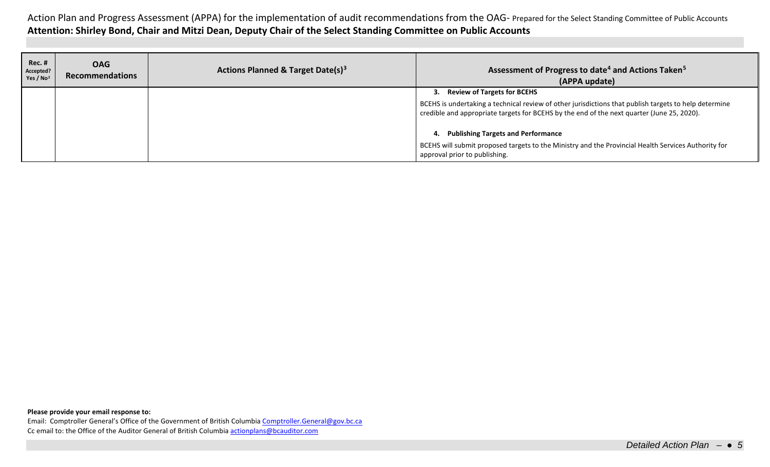| <b>Rec. #</b><br>Accepted?<br>Yes / $No2$ | <b>OAG</b><br><b>Recommendations</b> | Actions Planned & Target Date(s) <sup>3</sup> | Assessment of Progress to date <sup>4</sup> and Actions Taken <sup>5</sup><br>(APPA update)                                                                                                         |
|-------------------------------------------|--------------------------------------|-----------------------------------------------|-----------------------------------------------------------------------------------------------------------------------------------------------------------------------------------------------------|
|                                           |                                      |                                               | 3. Review of Targets for BCEHS                                                                                                                                                                      |
|                                           |                                      |                                               | BCEHS is undertaking a technical review of other jurisdictions that publish targets to help determine<br>credible and appropriate targets for BCEHS by the end of the next quarter (June 25, 2020). |
|                                           |                                      |                                               | <b>Publishing Targets and Performance</b><br>4.                                                                                                                                                     |
|                                           |                                      |                                               | BCEHS will submit proposed targets to the Ministry and the Provincial Health Services Authority for<br>approval prior to publishing.                                                                |

**Please provide your email response to:**

Email: Comptroller General's Office of the Government of British Columbi[a Comptroller.General@gov.bc.ca](mailto:Comptroller.General@gov.bc.ca) Cc email to: the Office of the Auditor General of British Columbi[a actionplans@bcauditor.com](mailto:actionplans@bcauditor.com)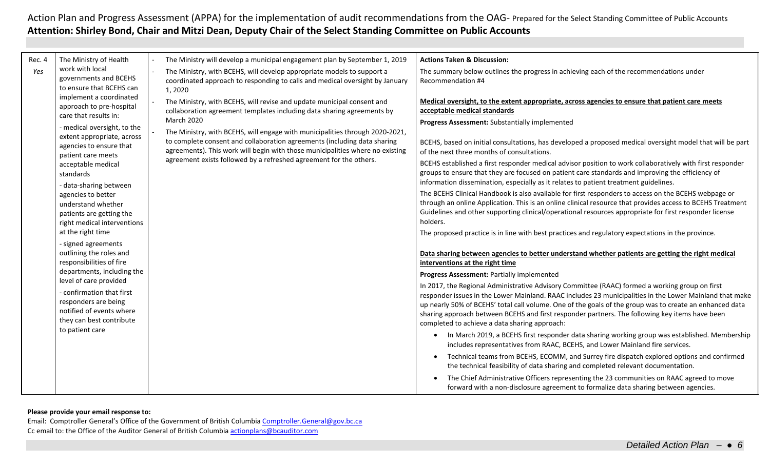| Rec. 4 | The Ministry of Health                                                           |  | The Ministry will develop a municipal engagement plan by September 1, 2019                                                                                       | <b>Actions Taken &amp; Discussion:</b>                                                                                                                                                                                                                                                                |
|--------|----------------------------------------------------------------------------------|--|------------------------------------------------------------------------------------------------------------------------------------------------------------------|-------------------------------------------------------------------------------------------------------------------------------------------------------------------------------------------------------------------------------------------------------------------------------------------------------|
| Yes    | work with local<br>governments and BCEHS<br>to ensure that BCEHS can             |  | The Ministry, with BCEHS, will develop appropriate models to support a<br>coordinated approach to responding to calls and medical oversight by January<br>1,2020 | The summary below outlines the progress in achieving each of the recommendations under<br>Recommendation #4                                                                                                                                                                                           |
|        | implement a coordinated                                                          |  | The Ministry, with BCEHS, will revise and update municipal consent and                                                                                           | Medical oversight, to the extent appropriate, across agencies to ensure that patient care meets                                                                                                                                                                                                       |
|        | approach to pre-hospital<br>care that results in:                                |  | collaboration agreement templates including data sharing agreements by                                                                                           | acceptable medical standards                                                                                                                                                                                                                                                                          |
|        |                                                                                  |  | <b>March 2020</b>                                                                                                                                                | Progress Assessment: Substantially implemented                                                                                                                                                                                                                                                        |
|        | - medical oversight, to the<br>extent appropriate, across                        |  | The Ministry, with BCEHS, will engage with municipalities through 2020-2021,                                                                                     |                                                                                                                                                                                                                                                                                                       |
|        | agencies to ensure that                                                          |  | to complete consent and collaboration agreements (including data sharing                                                                                         | BCEHS, based on initial consultations, has developed a proposed medical oversight model that will be part                                                                                                                                                                                             |
|        | patient care meets                                                               |  | agreements). This work will begin with those municipalities where no existing                                                                                    | of the next three months of consultations.                                                                                                                                                                                                                                                            |
|        | acceptable medical<br>standards                                                  |  | agreement exists followed by a refreshed agreement for the others.                                                                                               | BCEHS established a first responder medical advisor position to work collaboratively with first responder<br>groups to ensure that they are focused on patient care standards and improving the efficiency of<br>information dissemination, especially as it relates to patient treatment guidelines. |
|        | - data-sharing between<br>agencies to better                                     |  |                                                                                                                                                                  | The BCEHS Clinical Handbook is also available for first responders to access on the BCEHS webpage or                                                                                                                                                                                                  |
|        | understand whether                                                               |  |                                                                                                                                                                  | through an online Application. This is an online clinical resource that provides access to BCEHS Treatment                                                                                                                                                                                            |
|        | patients are getting the                                                         |  |                                                                                                                                                                  | Guidelines and other supporting clinical/operational resources appropriate for first responder license                                                                                                                                                                                                |
|        | right medical interventions                                                      |  |                                                                                                                                                                  | holders.                                                                                                                                                                                                                                                                                              |
|        | at the right time                                                                |  |                                                                                                                                                                  | The proposed practice is in line with best practices and regulatory expectations in the province.                                                                                                                                                                                                     |
|        | - signed agreements<br>outlining the roles and                                   |  |                                                                                                                                                                  |                                                                                                                                                                                                                                                                                                       |
|        | responsibilities of fire<br>departments, including the<br>level of care provided |  |                                                                                                                                                                  | Data sharing between agencies to better understand whether patients are getting the right medical<br>interventions at the right time                                                                                                                                                                  |
|        |                                                                                  |  |                                                                                                                                                                  | Progress Assessment: Partially implemented                                                                                                                                                                                                                                                            |
|        |                                                                                  |  | In 2017, the Regional Administrative Advisory Committee (RAAC) formed a working group on first                                                                   |                                                                                                                                                                                                                                                                                                       |
|        | - confirmation that first                                                        |  |                                                                                                                                                                  | responder issues in the Lower Mainland. RAAC includes 23 municipalities in the Lower Mainland that make                                                                                                                                                                                               |
|        | responders are being                                                             |  |                                                                                                                                                                  | up nearly 50% of BCEHS' total call volume. One of the goals of the group was to create an enhanced data                                                                                                                                                                                               |
|        | notified of events where<br>they can best contribute                             |  |                                                                                                                                                                  | sharing approach between BCEHS and first responder partners. The following key items have been                                                                                                                                                                                                        |
|        | to patient care                                                                  |  |                                                                                                                                                                  | completed to achieve a data sharing approach:                                                                                                                                                                                                                                                         |
|        |                                                                                  |  |                                                                                                                                                                  | In March 2019, a BCEHS first responder data sharing working group was established. Membership<br>includes representatives from RAAC, BCEHS, and Lower Mainland fire services.                                                                                                                         |
|        |                                                                                  |  |                                                                                                                                                                  | Technical teams from BCEHS, ECOMM, and Surrey fire dispatch explored options and confirmed<br>$\bullet$<br>the technical feasibility of data sharing and completed relevant documentation.                                                                                                            |
|        |                                                                                  |  |                                                                                                                                                                  | The Chief Administrative Officers representing the 23 communities on RAAC agreed to move<br>forward with a non-disclosure agreement to formalize data sharing between agencies.                                                                                                                       |

### **Please provide your email response to:**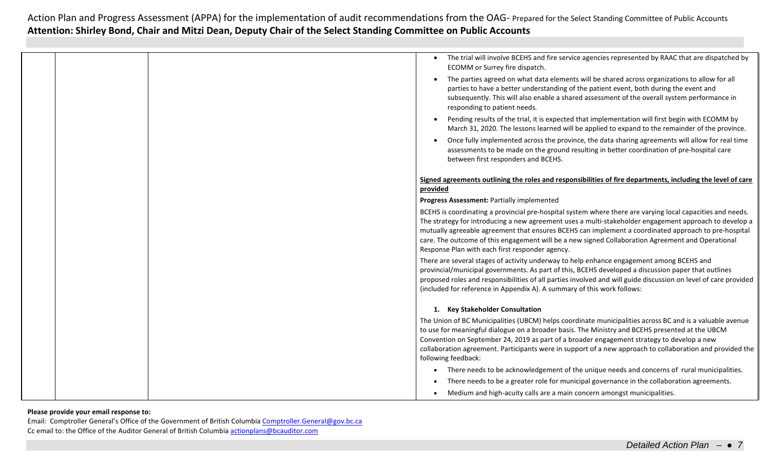|  | The trial will involve BCEHS and fire service agencies represented by RAAC that are dispatched by<br>ECOMM or Surrey fire dispatch.                                                                                                                                                                                                                                                                                                                                                  |
|--|--------------------------------------------------------------------------------------------------------------------------------------------------------------------------------------------------------------------------------------------------------------------------------------------------------------------------------------------------------------------------------------------------------------------------------------------------------------------------------------|
|  | The parties agreed on what data elements will be shared across organizations to allow for all<br>parties to have a better understanding of the patient event, both during the event and<br>subsequently. This will also enable a shared assessment of the overall system performance in<br>responding to patient needs.                                                                                                                                                              |
|  | Pending results of the trial, it is expected that implementation will first begin with ECOMM by<br>March 31, 2020. The lessons learned will be applied to expand to the remainder of the province.                                                                                                                                                                                                                                                                                   |
|  | Once fully implemented across the province, the data sharing agreements will allow for real time<br>assessments to be made on the ground resulting in better coordination of pre-hospital care<br>between first responders and BCEHS.                                                                                                                                                                                                                                                |
|  | Signed agreements outlining the roles and responsibilities of fire departments, including the level of care                                                                                                                                                                                                                                                                                                                                                                          |
|  | provided                                                                                                                                                                                                                                                                                                                                                                                                                                                                             |
|  | Progress Assessment: Partially implemented                                                                                                                                                                                                                                                                                                                                                                                                                                           |
|  | BCEHS is coordinating a provincial pre-hospital system where there are varying local capacities and needs.<br>The strategy for introducing a new agreement uses a multi-stakeholder engagement approach to develop a<br>mutually agreeable agreement that ensures BCEHS can implement a coordinated approach to pre-hospital<br>care. The outcome of this engagement will be a new signed Collaboration Agreement and Operational<br>Response Plan with each first responder agency. |
|  | There are several stages of activity underway to help enhance engagement among BCEHS and<br>provincial/municipal governments. As part of this, BCEHS developed a discussion paper that outlines<br>proposed roles and responsibilities of all parties involved and will guide discussion on level of care provided<br>(included for reference in Appendix A). A summary of this work follows:                                                                                        |
|  | 1. Key Stakeholder Consultation                                                                                                                                                                                                                                                                                                                                                                                                                                                      |
|  | The Union of BC Municipalities (UBCM) helps coordinate municipalities across BC and is a valuable avenue<br>to use for meaningful dialogue on a broader basis. The Ministry and BCEHS presented at the UBCM<br>Convention on September 24, 2019 as part of a broader engagement strategy to develop a new<br>collaboration agreement. Participants were in support of a new approach to collaboration and provided the<br>following feedback:                                        |
|  | There needs to be acknowledgement of the unique needs and concerns of rural municipalities.                                                                                                                                                                                                                                                                                                                                                                                          |
|  | There needs to be a greater role for municipal governance in the collaboration agreements.                                                                                                                                                                                                                                                                                                                                                                                           |
|  | Medium and high-acuity calls are a main concern amongst municipalities.                                                                                                                                                                                                                                                                                                                                                                                                              |

### **Please provide your email response to:**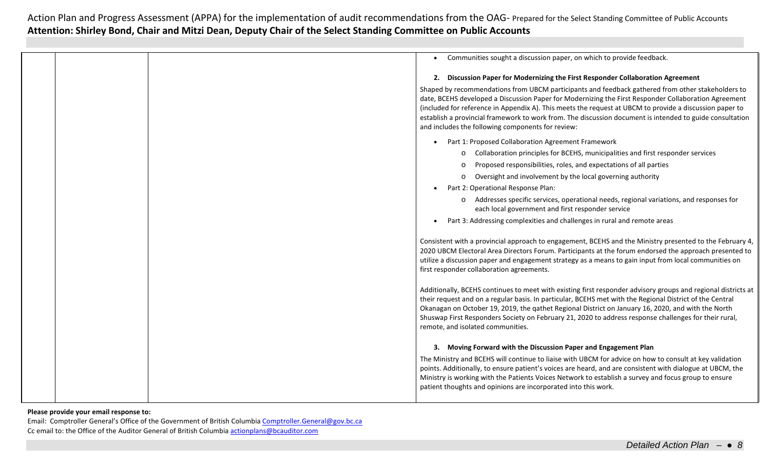|  | Communities sought a discussion paper, on which to provide feedback.                                                                                                                                                                                                                                                                                                     |
|--|--------------------------------------------------------------------------------------------------------------------------------------------------------------------------------------------------------------------------------------------------------------------------------------------------------------------------------------------------------------------------|
|  | 2. Discussion Paper for Modernizing the First Responder Collaboration Agreement                                                                                                                                                                                                                                                                                          |
|  | Shaped by recommendations from UBCM participants and feedback gathered from other stakeholders to<br>date, BCEHS developed a Discussion Paper for Modernizing the First Responder Collaboration Agreement                                                                                                                                                                |
|  | (included for reference in Appendix A). This meets the request at UBCM to provide a discussion paper to                                                                                                                                                                                                                                                                  |
|  | establish a provincial framework to work from. The discussion document is intended to guide consultation                                                                                                                                                                                                                                                                 |
|  | and includes the following components for review:                                                                                                                                                                                                                                                                                                                        |
|  | Part 1: Proposed Collaboration Agreement Framework                                                                                                                                                                                                                                                                                                                       |
|  | Collaboration principles for BCEHS, municipalities and first responder services<br>$\circ$                                                                                                                                                                                                                                                                               |
|  | Proposed responsibilities, roles, and expectations of all parties<br>$\circ$                                                                                                                                                                                                                                                                                             |
|  | Oversight and involvement by the local governing authority<br>$\circ$                                                                                                                                                                                                                                                                                                    |
|  | Part 2: Operational Response Plan:                                                                                                                                                                                                                                                                                                                                       |
|  | o Addresses specific services, operational needs, regional variations, and responses for<br>each local government and first responder service                                                                                                                                                                                                                            |
|  | Part 3: Addressing complexities and challenges in rural and remote areas                                                                                                                                                                                                                                                                                                 |
|  | Consistent with a provincial approach to engagement, BCEHS and the Ministry presented to the February 4,<br>2020 UBCM Electoral Area Directors Forum. Participants at the forum endorsed the approach presented to<br>utilize a discussion paper and engagement strategy as a means to gain input from local communities on<br>first responder collaboration agreements. |
|  | Additionally, BCEHS continues to meet with existing first responder advisory groups and regional districts at                                                                                                                                                                                                                                                            |
|  | their request and on a regular basis. In particular, BCEHS met with the Regional District of the Central                                                                                                                                                                                                                                                                 |
|  | Okanagan on October 19, 2019, the qathet Regional District on January 16, 2020, and with the North                                                                                                                                                                                                                                                                       |
|  | Shuswap First Responders Society on February 21, 2020 to address response challenges for their rural,<br>remote, and isolated communities.                                                                                                                                                                                                                               |
|  | 3. Moving Forward with the Discussion Paper and Engagement Plan                                                                                                                                                                                                                                                                                                          |
|  | The Ministry and BCEHS will continue to liaise with UBCM for advice on how to consult at key validation                                                                                                                                                                                                                                                                  |
|  | points. Additionally, to ensure patient's voices are heard, and are consistent with dialogue at UBCM, the                                                                                                                                                                                                                                                                |
|  | Ministry is working with the Patients Voices Network to establish a survey and focus group to ensure                                                                                                                                                                                                                                                                     |
|  | patient thoughts and opinions are incorporated into this work.                                                                                                                                                                                                                                                                                                           |
|  |                                                                                                                                                                                                                                                                                                                                                                          |

### **Please provide your email response to:**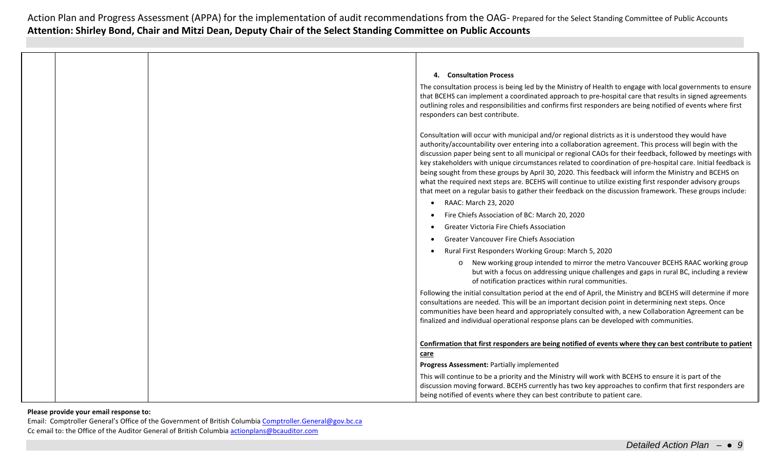|  | 4. Consultation Process                                                                                                                                                                                                                                                                                                                                                                                                                                                                                                                                                                                                                                                                                                                                                          |
|--|----------------------------------------------------------------------------------------------------------------------------------------------------------------------------------------------------------------------------------------------------------------------------------------------------------------------------------------------------------------------------------------------------------------------------------------------------------------------------------------------------------------------------------------------------------------------------------------------------------------------------------------------------------------------------------------------------------------------------------------------------------------------------------|
|  | The consultation process is being led by the Ministry of Health to engage with local governments to ensure<br>that BCEHS can implement a coordinated approach to pre-hospital care that results in signed agreements<br>outlining roles and responsibilities and confirms first responders are being notified of events where first<br>responders can best contribute.                                                                                                                                                                                                                                                                                                                                                                                                           |
|  | Consultation will occur with municipal and/or regional districts as it is understood they would have<br>authority/accountability over entering into a collaboration agreement. This process will begin with the<br>discussion paper being sent to all municipal or regional CAOs for their feedback, followed by meetings with<br>key stakeholders with unique circumstances related to coordination of pre-hospital care. Initial feedback is<br>being sought from these groups by April 30, 2020. This feedback will inform the Ministry and BCEHS on<br>what the required next steps are. BCEHS will continue to utilize existing first responder advisory groups<br>that meet on a regular basis to gather their feedback on the discussion framework. These groups include: |
|  | RAAC: March 23, 2020                                                                                                                                                                                                                                                                                                                                                                                                                                                                                                                                                                                                                                                                                                                                                             |
|  | Fire Chiefs Association of BC: March 20, 2020                                                                                                                                                                                                                                                                                                                                                                                                                                                                                                                                                                                                                                                                                                                                    |
|  | <b>Greater Victoria Fire Chiefs Association</b>                                                                                                                                                                                                                                                                                                                                                                                                                                                                                                                                                                                                                                                                                                                                  |
|  | <b>Greater Vancouver Fire Chiefs Association</b>                                                                                                                                                                                                                                                                                                                                                                                                                                                                                                                                                                                                                                                                                                                                 |
|  | Rural First Responders Working Group: March 5, 2020                                                                                                                                                                                                                                                                                                                                                                                                                                                                                                                                                                                                                                                                                                                              |
|  | New working group intended to mirror the metro Vancouver BCEHS RAAC working group<br>$\circ$<br>but with a focus on addressing unique challenges and gaps in rural BC, including a review<br>of notification practices within rural communities.                                                                                                                                                                                                                                                                                                                                                                                                                                                                                                                                 |
|  | Following the initial consultation period at the end of April, the Ministry and BCEHS will determine if more<br>consultations are needed. This will be an important decision point in determining next steps. Once<br>communities have been heard and appropriately consulted with, a new Collaboration Agreement can be<br>finalized and individual operational response plans can be developed with communities.                                                                                                                                                                                                                                                                                                                                                               |
|  | Confirmation that first responders are being notified of events where they can best contribute to patient<br>care                                                                                                                                                                                                                                                                                                                                                                                                                                                                                                                                                                                                                                                                |
|  | Progress Assessment: Partially implemented                                                                                                                                                                                                                                                                                                                                                                                                                                                                                                                                                                                                                                                                                                                                       |
|  | This will continue to be a priority and the Ministry will work with BCEHS to ensure it is part of the<br>discussion moving forward. BCEHS currently has two key approaches to confirm that first responders are<br>being notified of events where they can best contribute to patient care.                                                                                                                                                                                                                                                                                                                                                                                                                                                                                      |

### **Please provide your email response to:**